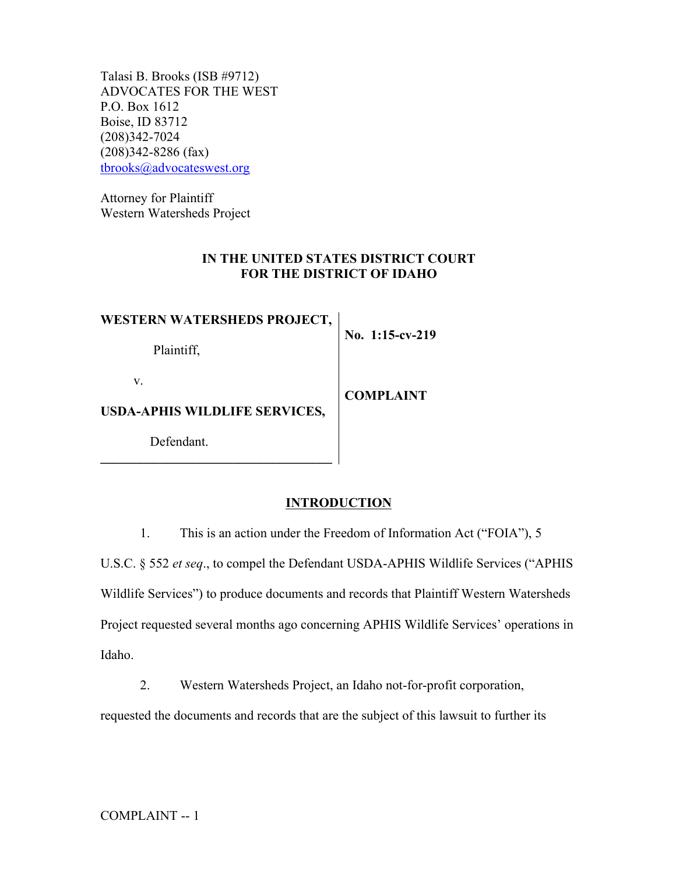Talasi B. Brooks (ISB #9712) ADVOCATES FOR THE WEST P.O. Box 1612 Boise, ID 83712 (208)342-7024 (208)342-8286 (fax) tbrooks@advocateswest.org

Attorney for Plaintiff Western Watersheds Project

Defendant.

**\_\_\_\_\_\_\_\_\_\_\_\_\_\_\_\_\_\_\_\_\_\_\_\_\_\_\_\_\_\_\_\_\_\_\_**

# **IN THE UNITED STATES DISTRICT COURT FOR THE DISTRICT OF IDAHO**

| <b>WESTERN WATERSHEDS PROJECT,</b>        | No. 1:15-cv-219  |
|-------------------------------------------|------------------|
| Plaintiff.                                |                  |
| V<br><b>USDA-APHIS WILDLIFE SERVICES,</b> | <b>COMPLAINT</b> |

**INTRODUCTION**

1. This is an action under the Freedom of Information Act ("FOIA"), 5

U.S.C. § 552 *et seq*., to compel the Defendant USDA-APHIS Wildlife Services ("APHIS Wildlife Services") to produce documents and records that Plaintiff Western Watersheds Project requested several months ago concerning APHIS Wildlife Services' operations in Idaho.

2. Western Watersheds Project, an Idaho not-for-profit corporation,

requested the documents and records that are the subject of this lawsuit to further its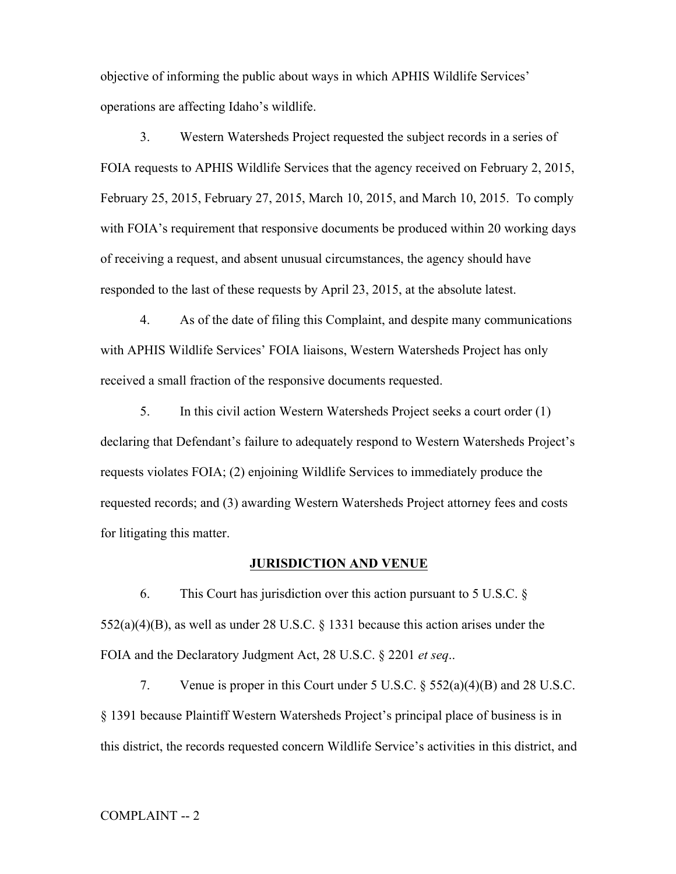objective of informing the public about ways in which APHIS Wildlife Services' operations are affecting Idaho's wildlife.

3. Western Watersheds Project requested the subject records in a series of FOIA requests to APHIS Wildlife Services that the agency received on February 2, 2015, February 25, 2015, February 27, 2015, March 10, 2015, and March 10, 2015. To comply with FOIA's requirement that responsive documents be produced within 20 working days of receiving a request, and absent unusual circumstances, the agency should have responded to the last of these requests by April 23, 2015, at the absolute latest.

4. As of the date of filing this Complaint, and despite many communications with APHIS Wildlife Services' FOIA liaisons, Western Watersheds Project has only received a small fraction of the responsive documents requested.

5. In this civil action Western Watersheds Project seeks a court order (1) declaring that Defendant's failure to adequately respond to Western Watersheds Project's requests violates FOIA; (2) enjoining Wildlife Services to immediately produce the requested records; and (3) awarding Western Watersheds Project attorney fees and costs for litigating this matter.

## **JURISDICTION AND VENUE**

6. This Court has jurisdiction over this action pursuant to 5 U.S.C. § 552(a)(4)(B), as well as under 28 U.S.C. § 1331 because this action arises under the FOIA and the Declaratory Judgment Act, 28 U.S.C. § 2201 *et seq*..

7. Venue is proper in this Court under 5 U.S.C. § 552(a)(4)(B) and 28 U.S.C. § 1391 because Plaintiff Western Watersheds Project's principal place of business is in this district, the records requested concern Wildlife Service's activities in this district, and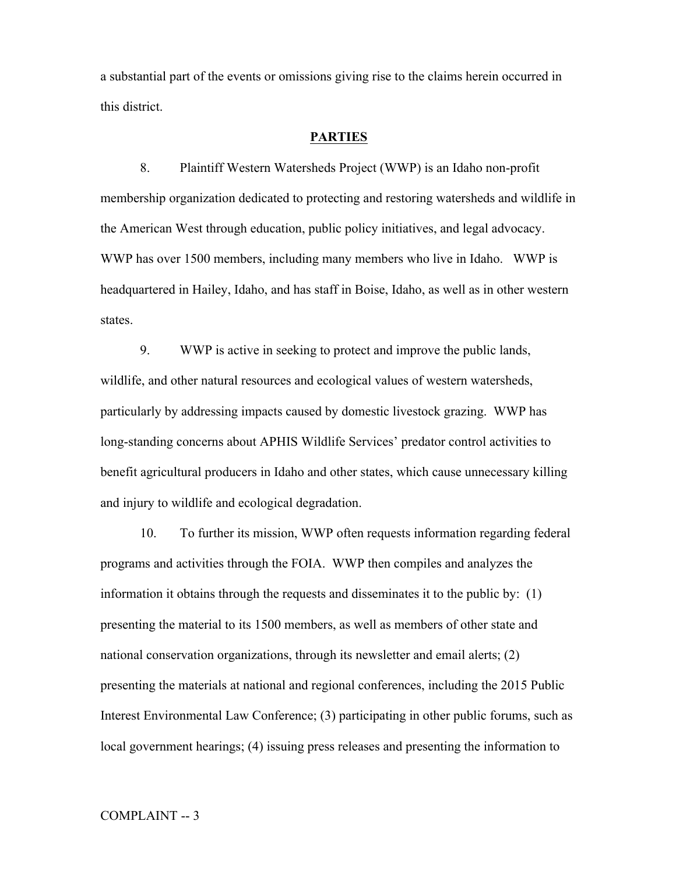a substantial part of the events or omissions giving rise to the claims herein occurred in this district.

## **PARTIES**

8. Plaintiff Western Watersheds Project (WWP) is an Idaho non-profit membership organization dedicated to protecting and restoring watersheds and wildlife in the American West through education, public policy initiatives, and legal advocacy. WWP has over 1500 members, including many members who live in Idaho. WWP is headquartered in Hailey, Idaho, and has staff in Boise, Idaho, as well as in other western states.

9. WWP is active in seeking to protect and improve the public lands, wildlife, and other natural resources and ecological values of western watersheds, particularly by addressing impacts caused by domestic livestock grazing. WWP has long-standing concerns about APHIS Wildlife Services' predator control activities to benefit agricultural producers in Idaho and other states, which cause unnecessary killing and injury to wildlife and ecological degradation.

10. To further its mission, WWP often requests information regarding federal programs and activities through the FOIA. WWP then compiles and analyzes the information it obtains through the requests and disseminates it to the public by: (1) presenting the material to its 1500 members, as well as members of other state and national conservation organizations, through its newsletter and email alerts; (2) presenting the materials at national and regional conferences, including the 2015 Public Interest Environmental Law Conference; (3) participating in other public forums, such as local government hearings; (4) issuing press releases and presenting the information to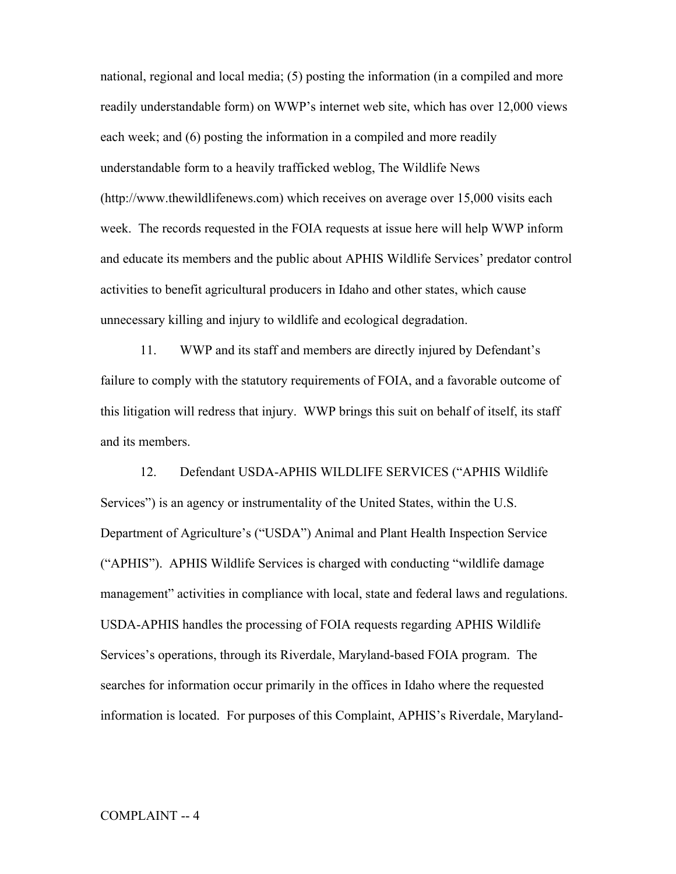national, regional and local media; (5) posting the information (in a compiled and more readily understandable form) on WWP's internet web site, which has over 12,000 views each week; and (6) posting the information in a compiled and more readily understandable form to a heavily trafficked weblog, The Wildlife News (http://www.thewildlifenews.com) which receives on average over 15,000 visits each week. The records requested in the FOIA requests at issue here will help WWP inform and educate its members and the public about APHIS Wildlife Services' predator control activities to benefit agricultural producers in Idaho and other states, which cause unnecessary killing and injury to wildlife and ecological degradation.

11. WWP and its staff and members are directly injured by Defendant's failure to comply with the statutory requirements of FOIA, and a favorable outcome of this litigation will redress that injury. WWP brings this suit on behalf of itself, its staff and its members.

12. Defendant USDA-APHIS WILDLIFE SERVICES ("APHIS Wildlife Services") is an agency or instrumentality of the United States, within the U.S. Department of Agriculture's ("USDA") Animal and Plant Health Inspection Service ("APHIS"). APHIS Wildlife Services is charged with conducting "wildlife damage management" activities in compliance with local, state and federal laws and regulations. USDA-APHIS handles the processing of FOIA requests regarding APHIS Wildlife Services's operations, through its Riverdale, Maryland-based FOIA program. The searches for information occur primarily in the offices in Idaho where the requested information is located. For purposes of this Complaint, APHIS's Riverdale, Maryland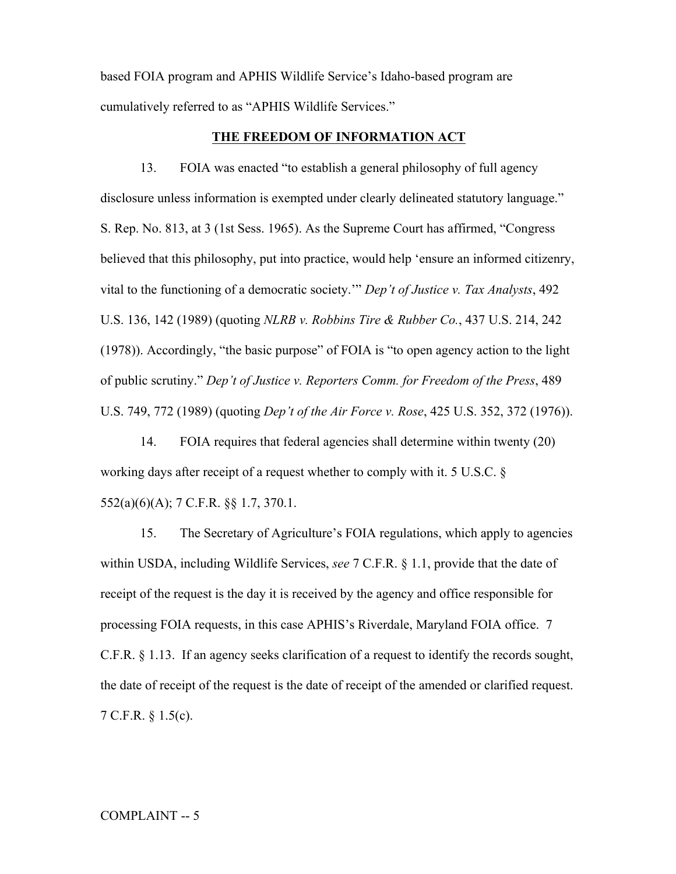based FOIA program and APHIS Wildlife Service's Idaho-based program are cumulatively referred to as "APHIS Wildlife Services."

## **THE FREEDOM OF INFORMATION ACT**

13. FOIA was enacted "to establish a general philosophy of full agency disclosure unless information is exempted under clearly delineated statutory language." S. Rep. No. 813, at 3 (1st Sess. 1965). As the Supreme Court has affirmed, "Congress believed that this philosophy, put into practice, would help 'ensure an informed citizenry, vital to the functioning of a democratic society.'" *Dep't of Justice v. Tax Analysts*, 492 U.S. 136, 142 (1989) (quoting *NLRB v. Robbins Tire & Rubber Co.*, 437 U.S. 214, 242 (1978)). Accordingly, "the basic purpose" of FOIA is "to open agency action to the light of public scrutiny." *Dep't of Justice v. Reporters Comm. for Freedom of the Press*, 489 U.S. 749, 772 (1989) (quoting *Dep't of the Air Force v. Rose*, 425 U.S. 352, 372 (1976)).

14. FOIA requires that federal agencies shall determine within twenty (20) working days after receipt of a request whether to comply with it. 5 U.S.C. § 552(a)(6)(A); 7 C.F.R. §§ 1.7, 370.1.

15. The Secretary of Agriculture's FOIA regulations, which apply to agencies within USDA, including Wildlife Services, *see* 7 C.F.R. § 1.1, provide that the date of receipt of the request is the day it is received by the agency and office responsible for processing FOIA requests, in this case APHIS's Riverdale, Maryland FOIA office. 7 C.F.R. § 1.13. If an agency seeks clarification of a request to identify the records sought, the date of receipt of the request is the date of receipt of the amended or clarified request. 7 C.F.R. § 1.5(c).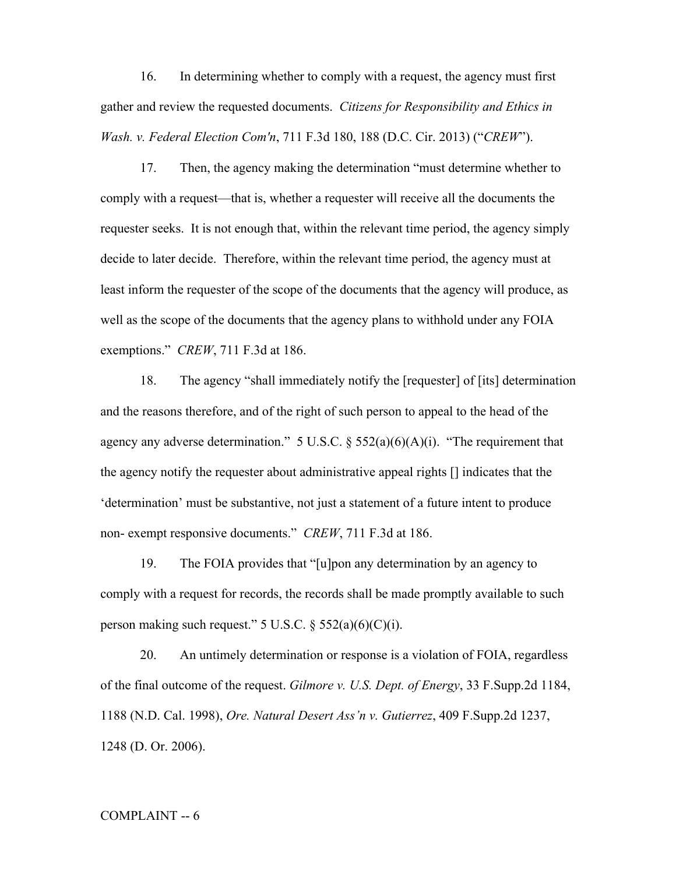16. In determining whether to comply with a request, the agency must first gather and review the requested documents. *Citizens for Responsibility and Ethics in Wash. v. Federal Election Com'n*, 711 F.3d 180, 188 (D.C. Cir. 2013) ("*CREW*").

17. Then, the agency making the determination "must determine whether to comply with a request—that is, whether a requester will receive all the documents the requester seeks. It is not enough that, within the relevant time period, the agency simply decide to later decide. Therefore, within the relevant time period, the agency must at least inform the requester of the scope of the documents that the agency will produce, as well as the scope of the documents that the agency plans to withhold under any FOIA exemptions." *CREW*, 711 F.3d at 186.

18. The agency "shall immediately notify the [requester] of [its] determination and the reasons therefore, and of the right of such person to appeal to the head of the agency any adverse determination."  $5 \text{ U.S.C.}$  §  $552(a)(6)(A)(i)$ . "The requirement that the agency notify the requester about administrative appeal rights [] indicates that the 'determination' must be substantive, not just a statement of a future intent to produce non- exempt responsive documents." *CREW*, 711 F.3d at 186.

19. The FOIA provides that "[u]pon any determination by an agency to comply with a request for records, the records shall be made promptly available to such person making such request."  $5 \text{ U.S.C. } § 552(a)(6)(C)(i)$ .

20. An untimely determination or response is a violation of FOIA, regardless of the final outcome of the request. *Gilmore v. U.S. Dept. of Energy*, 33 F.Supp.2d 1184, 1188 (N.D. Cal. 1998), *Ore. Natural Desert Ass'n v. Gutierrez*, 409 F.Supp.2d 1237, 1248 (D. Or. 2006).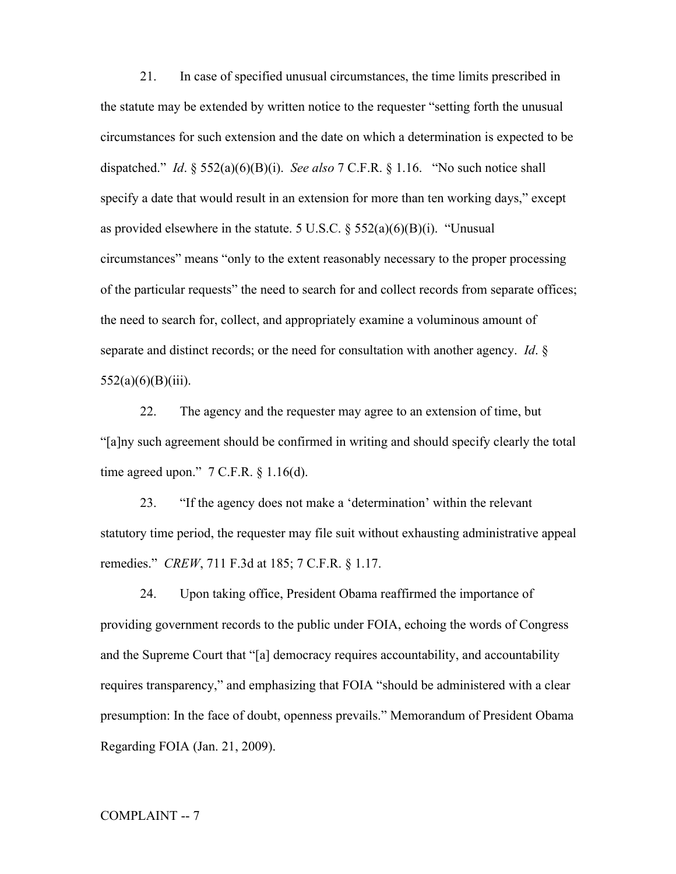21. In case of specified unusual circumstances, the time limits prescribed in the statute may be extended by written notice to the requester "setting forth the unusual circumstances for such extension and the date on which a determination is expected to be dispatched." *Id*. § 552(a)(6)(B)(i). *See also* 7 C.F.R. § 1.16. "No such notice shall specify a date that would result in an extension for more than ten working days," except as provided elsewhere in the statute. 5 U.S.C.  $\S$  552(a)(6)(B)(i). "Unusual circumstances" means "only to the extent reasonably necessary to the proper processing of the particular requests" the need to search for and collect records from separate offices; the need to search for, collect, and appropriately examine a voluminous amount of separate and distinct records; or the need for consultation with another agency. *Id*. §  $552(a)(6)(B)(iii)$ .

22. The agency and the requester may agree to an extension of time, but "[a]ny such agreement should be confirmed in writing and should specify clearly the total time agreed upon." 7 C.F.R. § 1.16(d).

23. "If the agency does not make a 'determination' within the relevant statutory time period, the requester may file suit without exhausting administrative appeal remedies." *CREW*, 711 F.3d at 185; 7 C.F.R. § 1.17.

24. Upon taking office, President Obama reaffirmed the importance of providing government records to the public under FOIA, echoing the words of Congress and the Supreme Court that "[a] democracy requires accountability, and accountability requires transparency," and emphasizing that FOIA "should be administered with a clear presumption: In the face of doubt, openness prevails." Memorandum of President Obama Regarding FOIA (Jan. 21, 2009).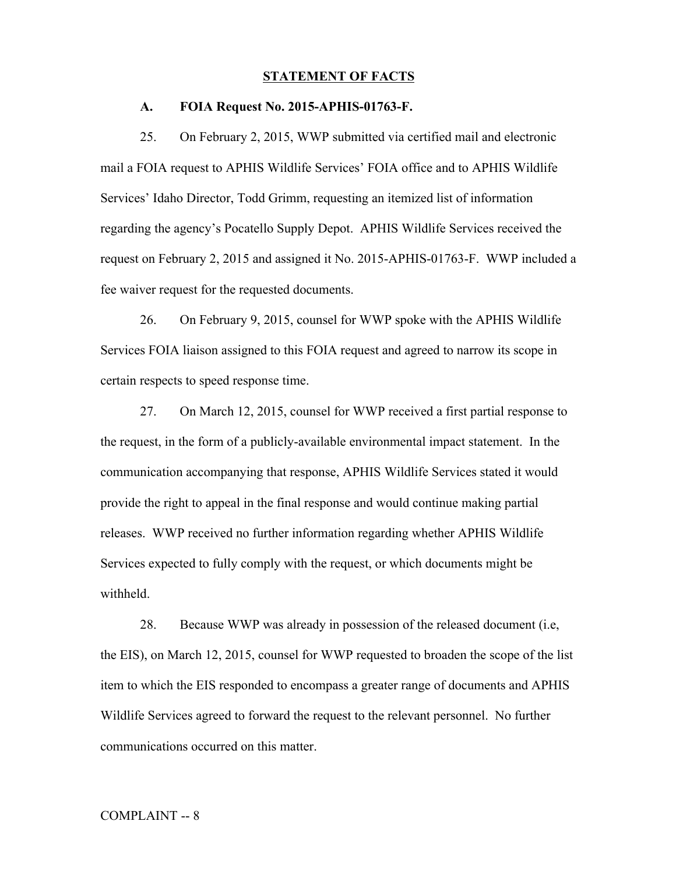#### **STATEMENT OF FACTS**

#### **A. FOIA Request No. 2015-APHIS-01763-F.**

25. On February 2, 2015, WWP submitted via certified mail and electronic mail a FOIA request to APHIS Wildlife Services' FOIA office and to APHIS Wildlife Services' Idaho Director, Todd Grimm, requesting an itemized list of information regarding the agency's Pocatello Supply Depot. APHIS Wildlife Services received the request on February 2, 2015 and assigned it No. 2015-APHIS-01763-F. WWP included a fee waiver request for the requested documents.

26. On February 9, 2015, counsel for WWP spoke with the APHIS Wildlife Services FOIA liaison assigned to this FOIA request and agreed to narrow its scope in certain respects to speed response time.

27. On March 12, 2015, counsel for WWP received a first partial response to the request, in the form of a publicly-available environmental impact statement. In the communication accompanying that response, APHIS Wildlife Services stated it would provide the right to appeal in the final response and would continue making partial releases. WWP received no further information regarding whether APHIS Wildlife Services expected to fully comply with the request, or which documents might be withheld.

28. Because WWP was already in possession of the released document (i.e, the EIS), on March 12, 2015, counsel for WWP requested to broaden the scope of the list item to which the EIS responded to encompass a greater range of documents and APHIS Wildlife Services agreed to forward the request to the relevant personnel. No further communications occurred on this matter.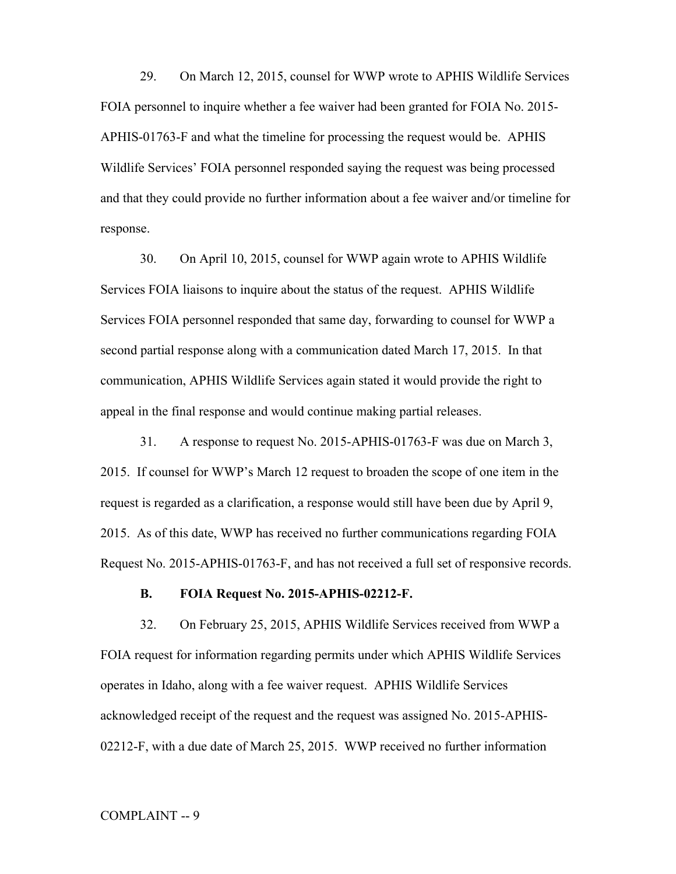29. On March 12, 2015, counsel for WWP wrote to APHIS Wildlife Services FOIA personnel to inquire whether a fee waiver had been granted for FOIA No. 2015- APHIS-01763-F and what the timeline for processing the request would be. APHIS Wildlife Services' FOIA personnel responded saying the request was being processed and that they could provide no further information about a fee waiver and/or timeline for response.

30. On April 10, 2015, counsel for WWP again wrote to APHIS Wildlife Services FOIA liaisons to inquire about the status of the request. APHIS Wildlife Services FOIA personnel responded that same day, forwarding to counsel for WWP a second partial response along with a communication dated March 17, 2015. In that communication, APHIS Wildlife Services again stated it would provide the right to appeal in the final response and would continue making partial releases.

31. A response to request No. 2015-APHIS-01763-F was due on March 3, 2015. If counsel for WWP's March 12 request to broaden the scope of one item in the request is regarded as a clarification, a response would still have been due by April 9, 2015. As of this date, WWP has received no further communications regarding FOIA Request No. 2015-APHIS-01763-F, and has not received a full set of responsive records.

## **B. FOIA Request No. 2015-APHIS-02212-F.**

32. On February 25, 2015, APHIS Wildlife Services received from WWP a FOIA request for information regarding permits under which APHIS Wildlife Services operates in Idaho, along with a fee waiver request. APHIS Wildlife Services acknowledged receipt of the request and the request was assigned No. 2015-APHIS-02212-F, with a due date of March 25, 2015. WWP received no further information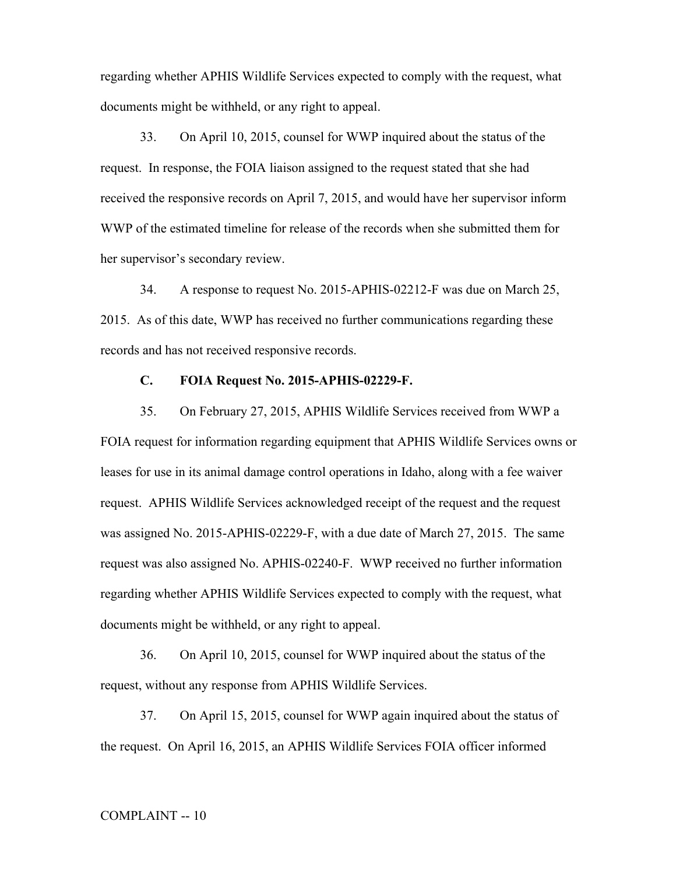regarding whether APHIS Wildlife Services expected to comply with the request, what documents might be withheld, or any right to appeal.

33. On April 10, 2015, counsel for WWP inquired about the status of the request. In response, the FOIA liaison assigned to the request stated that she had received the responsive records on April 7, 2015, and would have her supervisor inform WWP of the estimated timeline for release of the records when she submitted them for her supervisor's secondary review.

34. A response to request No. 2015-APHIS-02212-F was due on March 25, 2015. As of this date, WWP has received no further communications regarding these records and has not received responsive records.

### **C. FOIA Request No. 2015-APHIS-02229-F.**

35. On February 27, 2015, APHIS Wildlife Services received from WWP a FOIA request for information regarding equipment that APHIS Wildlife Services owns or leases for use in its animal damage control operations in Idaho, along with a fee waiver request. APHIS Wildlife Services acknowledged receipt of the request and the request was assigned No. 2015-APHIS-02229-F, with a due date of March 27, 2015. The same request was also assigned No. APHIS-02240-F. WWP received no further information regarding whether APHIS Wildlife Services expected to comply with the request, what documents might be withheld, or any right to appeal.

36. On April 10, 2015, counsel for WWP inquired about the status of the request, without any response from APHIS Wildlife Services.

37. On April 15, 2015, counsel for WWP again inquired about the status of the request. On April 16, 2015, an APHIS Wildlife Services FOIA officer informed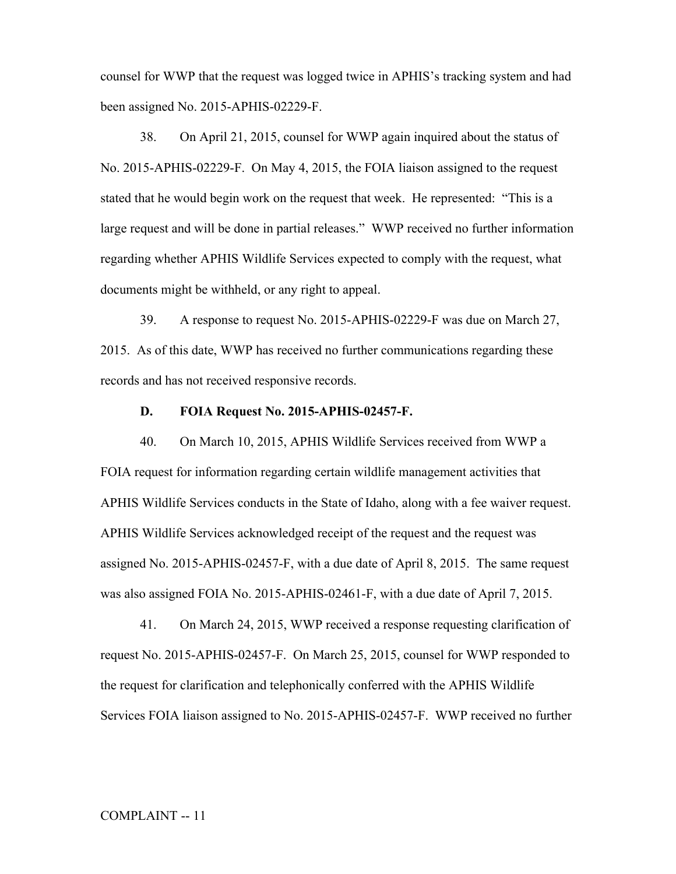counsel for WWP that the request was logged twice in APHIS's tracking system and had been assigned No. 2015-APHIS-02229-F.

38. On April 21, 2015, counsel for WWP again inquired about the status of No. 2015-APHIS-02229-F. On May 4, 2015, the FOIA liaison assigned to the request stated that he would begin work on the request that week. He represented: "This is a large request and will be done in partial releases." WWP received no further information regarding whether APHIS Wildlife Services expected to comply with the request, what documents might be withheld, or any right to appeal.

39. A response to request No. 2015-APHIS-02229-F was due on March 27, 2015. As of this date, WWP has received no further communications regarding these records and has not received responsive records.

#### **D. FOIA Request No. 2015-APHIS-02457-F.**

40. On March 10, 2015, APHIS Wildlife Services received from WWP a FOIA request for information regarding certain wildlife management activities that APHIS Wildlife Services conducts in the State of Idaho, along with a fee waiver request. APHIS Wildlife Services acknowledged receipt of the request and the request was assigned No. 2015-APHIS-02457-F, with a due date of April 8, 2015. The same request was also assigned FOIA No. 2015-APHIS-02461-F, with a due date of April 7, 2015.

41. On March 24, 2015, WWP received a response requesting clarification of request No. 2015-APHIS-02457-F. On March 25, 2015, counsel for WWP responded to the request for clarification and telephonically conferred with the APHIS Wildlife Services FOIA liaison assigned to No. 2015-APHIS-02457-F. WWP received no further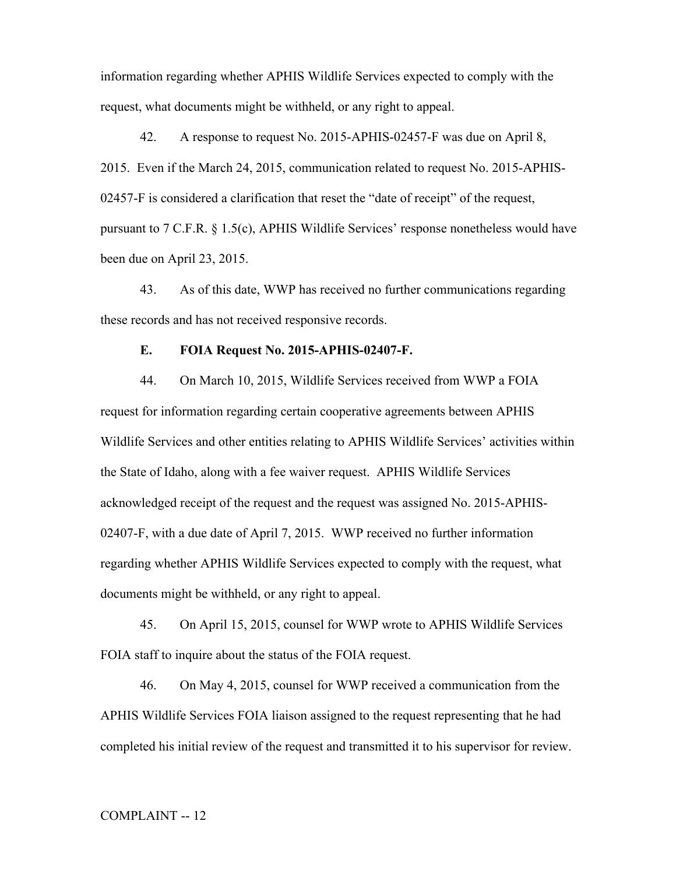information regarding whether APHIS Wildlife Services expected to comply with the request, what documents might be withheld, or any right to appeal.

42. A response to request No. 2015-APHIS-02457-F was due on April 8, 2015. Even if the March 24, 2015, communication related to request No. 2015-APHIS-02457-F is considered a clarification that reset the "date of receipt" of the request, pursuant to 7 C.F.R. § 1.5(c), APHIS Wildlife Services' response nonetheless would have been due on April 23, 2015.

43. As of this date, WWP has received no further communications regarding these records and has not received responsive records.

## **E. FOIA Request No. 2015-APHIS-02407-F.**

44. On March 10, 2015, Wildlife Services received from WWP a FOIA request for information regarding certain cooperative agreements between APHIS Wildlife Services and other entities relating to APHIS Wildlife Services' activities within the State of Idaho, along with a fee waiver request. APHIS Wildlife Services acknowledged receipt of the request and the request was assigned No. 2015-APHIS-02407-F, with a due date of April 7, 2015. WWP received no further information regarding whether APHIS Wildlife Services expected to comply with the request, what documents might be withheld, or any right to appeal.

45. On April 15, 2015, counsel for WWP wrote to APHIS Wildlife Services FOIA staff to inquire about the status of the FOIA request.

46. On May 4, 2015, counsel for WWP received a communication from the APHIS Wildlife Services FOIA liaison assigned to the request representing that he had completed his initial review of the request and transmitted it to his supervisor for review.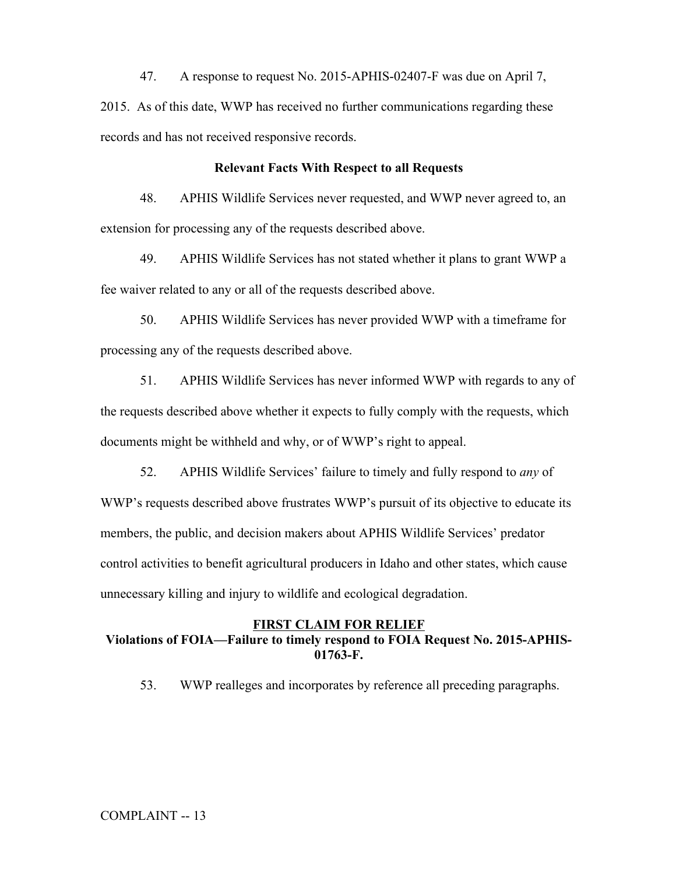47. A response to request No. 2015-APHIS-02407-F was due on April 7, 2015. As of this date, WWP has received no further communications regarding these records and has not received responsive records.

## **Relevant Facts With Respect to all Requests**

48. APHIS Wildlife Services never requested, and WWP never agreed to, an extension for processing any of the requests described above.

49. APHIS Wildlife Services has not stated whether it plans to grant WWP a fee waiver related to any or all of the requests described above.

50. APHIS Wildlife Services has never provided WWP with a timeframe for processing any of the requests described above.

51. APHIS Wildlife Services has never informed WWP with regards to any of the requests described above whether it expects to fully comply with the requests, which documents might be withheld and why, or of WWP's right to appeal.

52. APHIS Wildlife Services' failure to timely and fully respond to *any* of WWP's requests described above frustrates WWP's pursuit of its objective to educate its members, the public, and decision makers about APHIS Wildlife Services' predator control activities to benefit agricultural producers in Idaho and other states, which cause unnecessary killing and injury to wildlife and ecological degradation.

# **FIRST CLAIM FOR RELIEF Violations of FOIA—Failure to timely respond to FOIA Request No. 2015-APHIS-01763-F.**

53. WWP realleges and incorporates by reference all preceding paragraphs.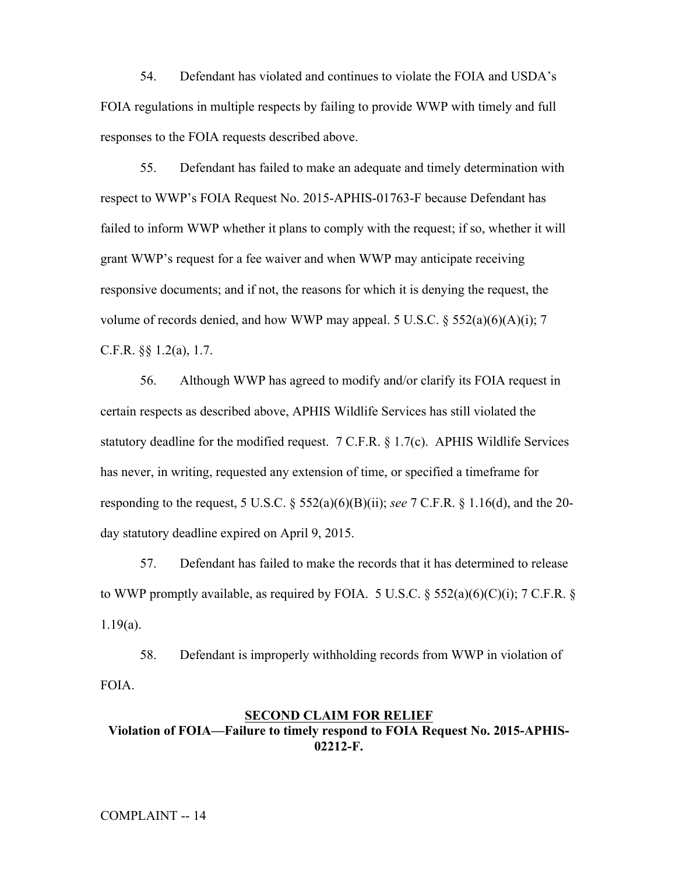54. Defendant has violated and continues to violate the FOIA and USDA's FOIA regulations in multiple respects by failing to provide WWP with timely and full responses to the FOIA requests described above.

55. Defendant has failed to make an adequate and timely determination with respect to WWP's FOIA Request No. 2015-APHIS-01763-F because Defendant has failed to inform WWP whether it plans to comply with the request; if so, whether it will grant WWP's request for a fee waiver and when WWP may anticipate receiving responsive documents; and if not, the reasons for which it is denying the request, the volume of records denied, and how WWP may appeal. 5 U.S.C.  $\S$  552(a)(6)(A)(i); 7 C.F.R. §§ 1.2(a), 1.7.

56. Although WWP has agreed to modify and/or clarify its FOIA request in certain respects as described above, APHIS Wildlife Services has still violated the statutory deadline for the modified request. 7 C.F.R. § 1.7(c). APHIS Wildlife Services has never, in writing, requested any extension of time, or specified a timeframe for responding to the request, 5 U.S.C. § 552(a)(6)(B)(ii); *see* 7 C.F.R. § 1.16(d), and the 20 day statutory deadline expired on April 9, 2015.

57. Defendant has failed to make the records that it has determined to release to WWP promptly available, as required by FOIA. 5 U.S.C.  $\S$  552(a)(6)(C)(i); 7 C.F.R.  $\S$ 1.19(a).

58. Defendant is improperly withholding records from WWP in violation of FOIA.

## **SECOND CLAIM FOR RELIEF Violation of FOIA—Failure to timely respond to FOIA Request No. 2015-APHIS-02212-F.**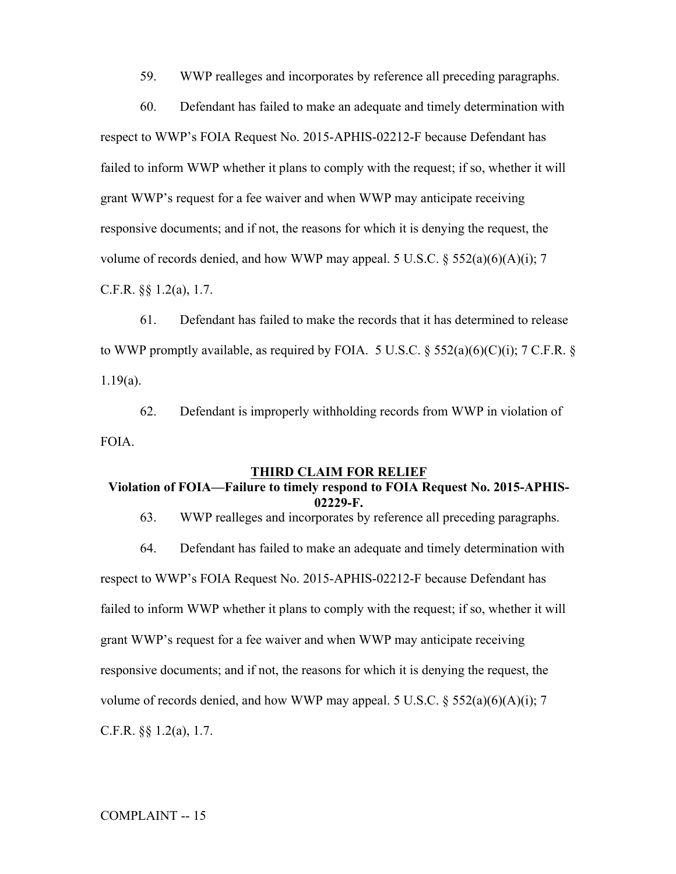59. WWP realleges and incorporates by reference all preceding paragraphs.

60. Defendant has failed to make an adequate and timely determination with respect to WWP's FOIA Request No. 2015-APHIS-02212-F because Defendant has failed to inform WWP whether it plans to comply with the request; if so, whether it will grant WWP's request for a fee waiver and when WWP may anticipate receiving responsive documents; and if not, the reasons for which it is denying the request, the volume of records denied, and how WWP may appeal. 5 U.S.C.  $\S$  552(a)(6)(A)(i); 7 C.F.R. §§ 1.2(a), 1.7.

61. Defendant has failed to make the records that it has determined to release to WWP promptly available, as required by FOIA. 5 U.S.C.  $\S$  552(a)(6)(C)(i); 7 C.F.R.  $\S$ 1.19(a).

62. Defendant is improperly withholding records from WWP in violation of FOIA.

#### **THIRD CLAIM FOR RELIEF**

# **Violation of FOIA—Failure to timely respond to FOIA Request No. 2015-APHIS-02229-F.**

63. WWP realleges and incorporates by reference all preceding paragraphs.

64. Defendant has failed to make an adequate and timely determination with respect to WWP's FOIA Request No. 2015-APHIS-02212-F because Defendant has failed to inform WWP whether it plans to comply with the request; if so, whether it will grant WWP's request for a fee waiver and when WWP may anticipate receiving responsive documents; and if not, the reasons for which it is denying the request, the volume of records denied, and how WWP may appeal. 5 U.S.C.  $\S$  552(a)(6)(A)(i); 7 C.F.R. §§ 1.2(a), 1.7.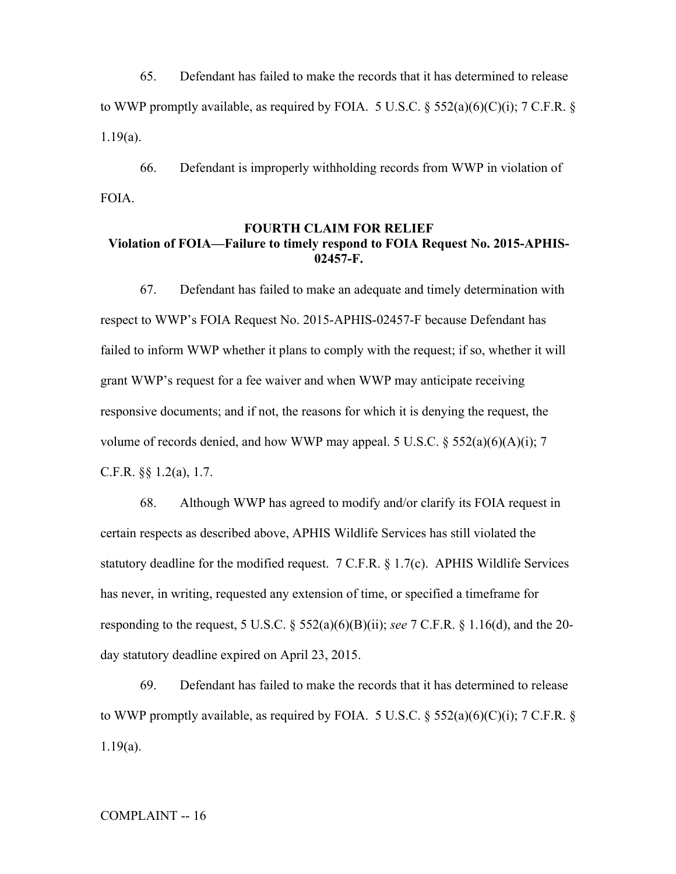65. Defendant has failed to make the records that it has determined to release to WWP promptly available, as required by FOIA. 5 U.S.C.  $\S$  552(a)(6)(C)(i); 7 C.F.R.  $\S$ 1.19(a).

66. Defendant is improperly withholding records from WWP in violation of FOIA.

# **FOURTH CLAIM FOR RELIEF Violation of FOIA—Failure to timely respond to FOIA Request No. 2015-APHIS-02457-F.**

67. Defendant has failed to make an adequate and timely determination with respect to WWP's FOIA Request No. 2015-APHIS-02457-F because Defendant has failed to inform WWP whether it plans to comply with the request; if so, whether it will grant WWP's request for a fee waiver and when WWP may anticipate receiving responsive documents; and if not, the reasons for which it is denying the request, the volume of records denied, and how WWP may appeal. 5 U.S.C.  $\S$  552(a)(6)(A)(i); 7 C.F.R. §§ 1.2(a), 1.7.

68. Although WWP has agreed to modify and/or clarify its FOIA request in certain respects as described above, APHIS Wildlife Services has still violated the statutory deadline for the modified request. 7 C.F.R. § 1.7(c). APHIS Wildlife Services has never, in writing, requested any extension of time, or specified a timeframe for responding to the request, 5 U.S.C. § 552(a)(6)(B)(ii); *see* 7 C.F.R. § 1.16(d), and the 20 day statutory deadline expired on April 23, 2015.

69. Defendant has failed to make the records that it has determined to release to WWP promptly available, as required by FOIA. 5 U.S.C.  $\S$  552(a)(6)(C)(i); 7 C.F.R.  $\S$ 1.19(a).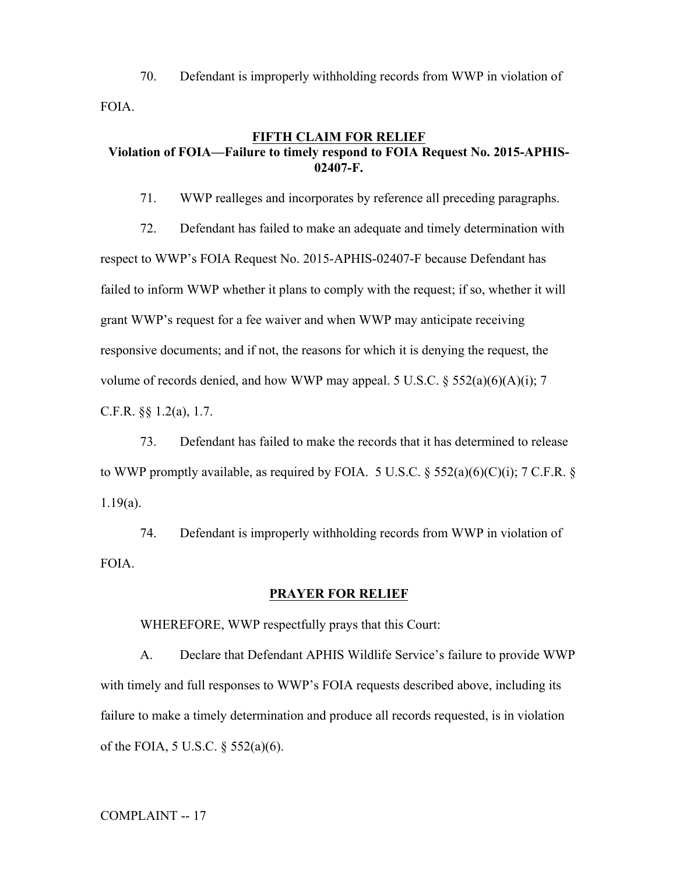70. Defendant is improperly withholding records from WWP in violation of FOIA.

# **FIFTH CLAIM FOR RELIEF Violation of FOIA—Failure to timely respond to FOIA Request No. 2015-APHIS-02407-F.**

71. WWP realleges and incorporates by reference all preceding paragraphs.

72. Defendant has failed to make an adequate and timely determination with respect to WWP's FOIA Request No. 2015-APHIS-02407-F because Defendant has failed to inform WWP whether it plans to comply with the request; if so, whether it will grant WWP's request for a fee waiver and when WWP may anticipate receiving responsive documents; and if not, the reasons for which it is denying the request, the volume of records denied, and how WWP may appeal. 5 U.S.C.  $\S$  552(a)(6)(A)(i); 7 C.F.R. §§ 1.2(a), 1.7.

73. Defendant has failed to make the records that it has determined to release to WWP promptly available, as required by FOIA. 5 U.S.C.  $\S$  552(a)(6)(C)(i); 7 C.F.R.  $\S$ 1.19(a).

74. Defendant is improperly withholding records from WWP in violation of FOIA.

## **PRAYER FOR RELIEF**

WHEREFORE, WWP respectfully prays that this Court:

A. Declare that Defendant APHIS Wildlife Service's failure to provide WWP with timely and full responses to WWP's FOIA requests described above, including its failure to make a timely determination and produce all records requested, is in violation of the FOIA, 5 U.S.C. § 552(a)(6).